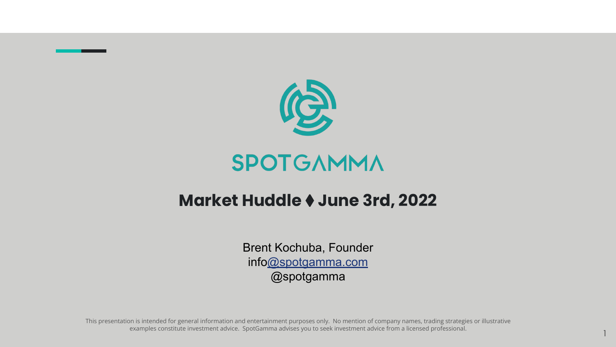

#### SPOTGAMMA

#### **Market Huddle** ⧫ **June 3rd, 2022**

Brent Kochuba, Founder inf[o@spotgamma.com](mailto:sg@spotgamma.com) @spotgamma

This presentation is intended for general information and entertainment purposes only. No mention of company names, trading strategies or illustrative examples constitute investment advice. SpotGamma advises you to seek investment advice from a licensed professional.

1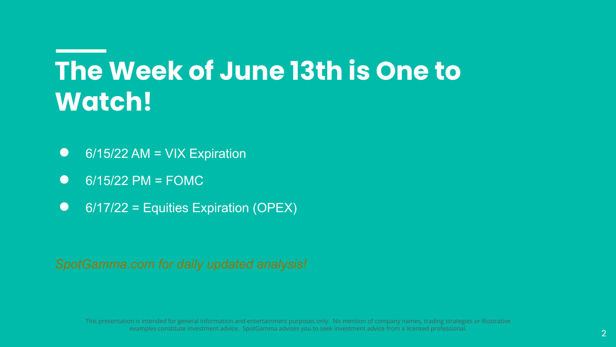## **The Week of June 13th is One to Watch!**

- $\bullet$  6/15/22 AM = VIX Expiration
- $\bullet$  6/15/22 PM = FOMC
- 6/17/22 = Equities Expiration (OPEX)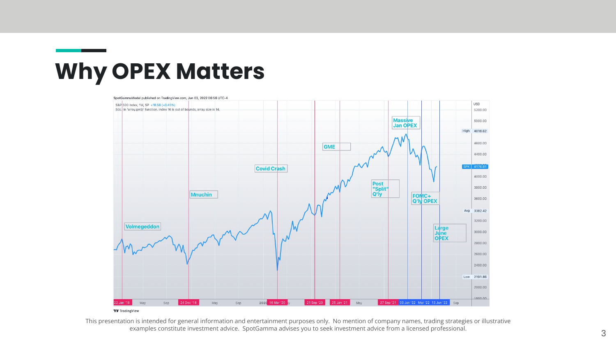

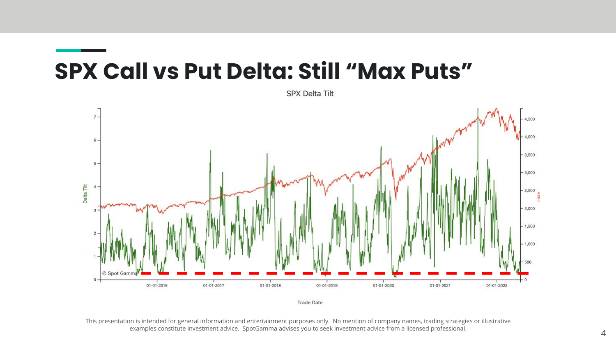### **SPX Call vs Put Delta: Still "Max Puts"**



SPX Delta Tilt

**Trade Date**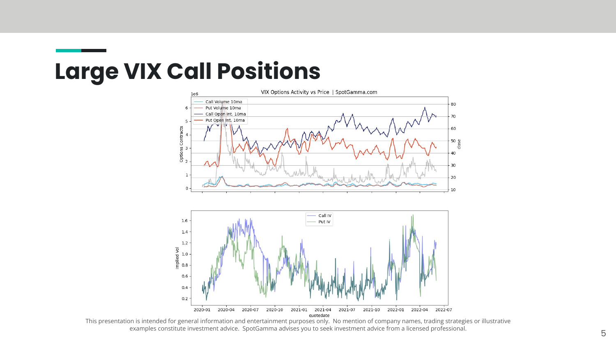### **Large VIX Call Positions**

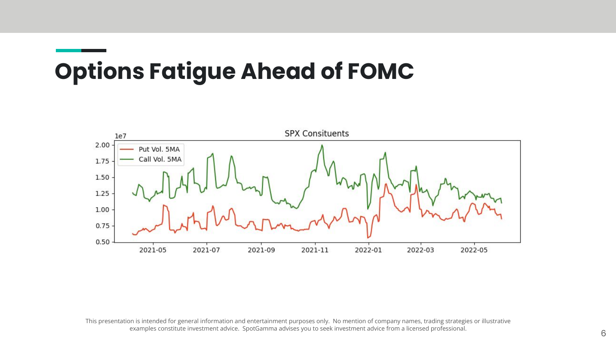## **Options Fatigue Ahead of FOMC**

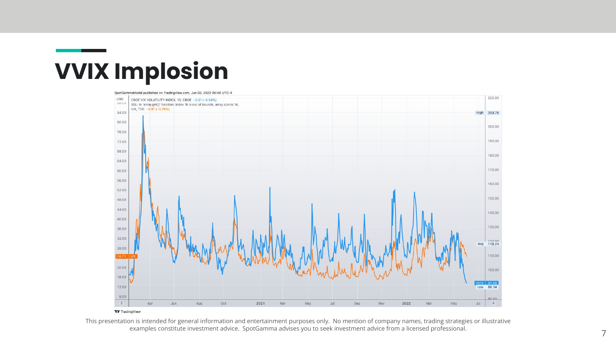### **VVIX Implosion**

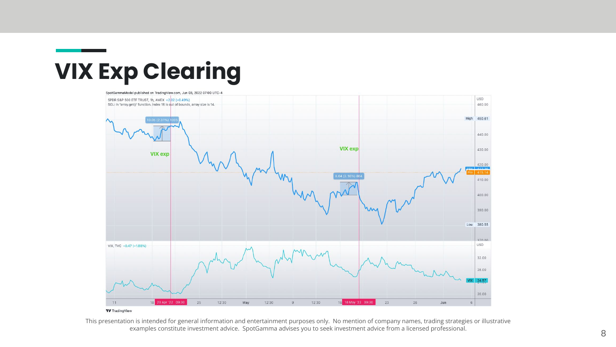### **VIX Exp Clearing**

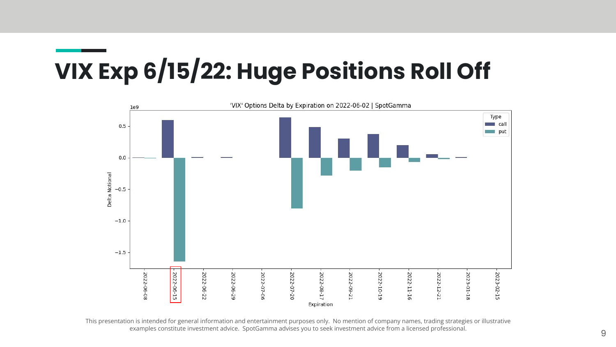## **VIX Exp 6/15/22: Huge Positions Roll Off**